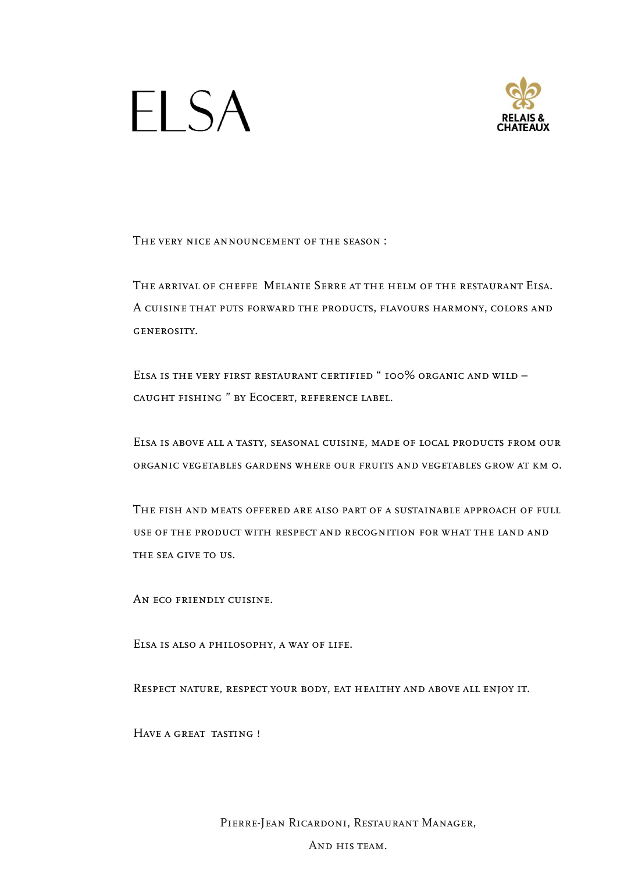



The very nice announcement of the season :

THE ARRIVAL OF CHEFFE MELANIE SERRE AT THE HELM OF THE RESTAURANT ELSA.<br>THE ARRIVAL OF CHEFFE MELANIE SERRE AT THE HELM OF THE RESTAURANT ELSA.<br>A CUISINE THAT PUTS FORWARD THE PRODUCTS, FLAVOURS HARMONY, COLORS AND GENEROS THE VERY NICE ANNOUNCEMENT OF THE SEASON :<br>THE ARRIVAL OF CHEFFE MELANIE SERRE AT THE HELM OF THE RESTAURANT ELSA.<br>A cuisine that puts forward the products, flavours harmony, colors and<br>GENEROSITY.<br>ELSA IS THE VERY FIRST R GENEROSITY.

Elsa is the very first restaurant certified " 100% organic and wild – caught fishing " by Ecocert, reference label.

Elsa is above all a tasty, seasonal cuisine, made of local products from our organic vegetables gardens where our fruits and vegetables grow at km 0.

The fish and meats offered are also part of a sustainable approach of full use of the product with respect and recognition for what the land and THE SEA GIVE TO US.

An eco friendly cuisine.

Elsa is also a philosophy, a way of life.

Respect nature, respect your body, eat healthy and above all enjoy it.

Have a great tasting !

Pierre-Jean Ricardoni, Restaurant Manager, of life.<br>Dody, eat healthy and above all enjoy it.<br>Ardoni, Restaurant Manager,<br>And his team.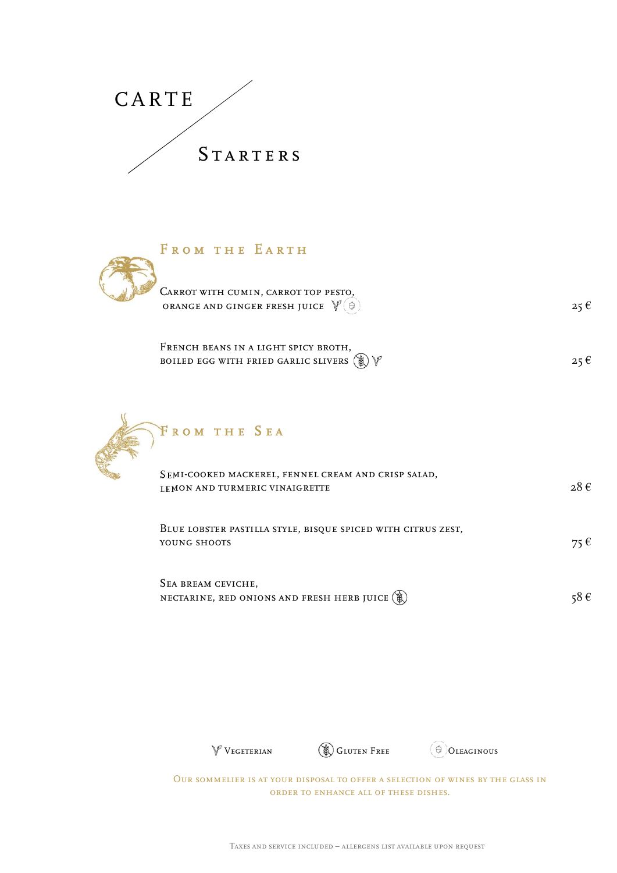

| 17 T T                                                                                                |          |  |
|-------------------------------------------------------------------------------------------------------|----------|--|
| STARTERS                                                                                              |          |  |
|                                                                                                       |          |  |
|                                                                                                       |          |  |
| FROM THE EARTH                                                                                        |          |  |
| CARROT WITH CUMIN, CARROT TOP PESTO,<br>ORANGE AND GINGER FRESH JUICE $\mathcal{V}(\Theta)$           | $25 \in$ |  |
| FRENCH BEANS IN A LIGHT SPICY BROTH,<br>BOILED EGG WITH FRIED GARLIC SLIVERS $\circledast \mathbb{V}$ | $25 \in$ |  |
|                                                                                                       |          |  |
| FROM THE SEA                                                                                          |          |  |

| FRENCH BEANS IN A LIGHT SPICY BROTH.                    |  |
|---------------------------------------------------------|--|
| BOILED EGG WITH FRIED GARLIC SLIVERS $(\%) \sqrt[p]{ }$ |  |



| FROM THE EARTH                                                                                                           |                   |
|--------------------------------------------------------------------------------------------------------------------------|-------------------|
| CARROT WITH CUMIN, CARROT TOP PESTO,<br>ORANGE AND GINGER FRESH JUICE $\mathbb{V}(\Theta)$                               | $25 \in$          |
| FRENCH BEANS IN A LIGHT SPICY BROTH,<br>BOILED EGG WITH FRIED GARLIC SLIVERS $\circledast\mathbb{V}$                     | $25 \in$          |
| FROM THE SEA                                                                                                             |                   |
| SEMI-COOKED MACKEREL, FENNEL CREAM AND CRISP SALAD,<br>LEMON AND TURMERIC VINAIGRETTE                                    | $28 \text{ } \in$ |
| BLUE LOBSTER PASTILLA STYLE, BISQUE SPICED WITH CITRUS ZEST,<br>YOUNG SHOOTS                                             | $75 \in$          |
| SEA BREAM CEVICHE,<br>NECTARINE, RED ONIONS AND FRESH HERB JUICE (1)                                                     | 58€               |
|                                                                                                                          |                   |
|                                                                                                                          |                   |
| <b>SLUTEN FREE</b><br>$\mathbb V$ VEGETERIAN<br>$\Theta$ OLEAGINOUS                                                      |                   |
| OUR SOMMELIER IS AT YOUR DISPOSAL TO OFFER A SELECTION OF WINES BY THE GLASS IN<br>ORDER TO ENHANCE ALL OF THESE DISHES. |                   |
|                                                                                                                          |                   |



Our sommelier is at your disposal to offer a selection of wines by the glass in order to enhance all of these dishes. The SAND FRESH HERB JUICE (C)  $\sim$  58 C<br>
Tegeterian (C) Gluten Free (C) Oleaginous<br>
Ter is at your disposal to offer a selection of wines by the glass in<br>
ORDER TO ENHANCE ALL OF THESE DISHES.<br>
Taxes and service included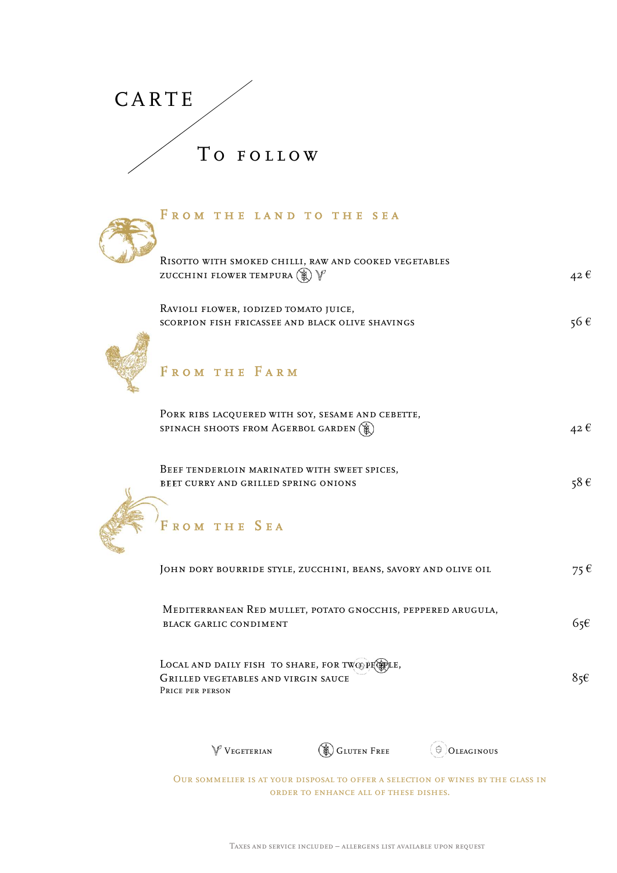



| CARTE                                                                                                        |                                                                      |            |                   |
|--------------------------------------------------------------------------------------------------------------|----------------------------------------------------------------------|------------|-------------------|
|                                                                                                              |                                                                      |            |                   |
| TO FOLLOW                                                                                                    |                                                                      |            |                   |
| FROM THE LAND TO THE SEA                                                                                     |                                                                      |            |                   |
| RISOTTO WITH SMOKED CHILLI, RAW AND COOKED VEGETABLES<br>ZUCCHINI FLOWER TEMPURA $\circledast$ $\mathscr{V}$ |                                                                      |            | $42 \epsilon$     |
| RAVIOLI FLOWER, IODIZED TOMATO JUICE,<br>SCORPION FISH FRICASSEE AND BLACK OLIVE SHAVINGS                    |                                                                      |            | 56€               |
| FROM THE FARM                                                                                                |                                                                      |            |                   |
| PORK RIBS LACQUERED WITH SOY, SESAME AND CEBETTE,<br>SPINACH SHOOTS FROM AGERBOL GARDEN                      |                                                                      |            | $42 \text{ } \in$ |
| BEEF TENDERLOIN MARINATED WITH SWEET SPICES,<br>BEET CURRY AND GRILLED SPRING ONIONS                         |                                                                      |            | 58€               |
| FROM THE SEA                                                                                                 |                                                                      |            |                   |
| JOHN DORY BOURRIDE STYLE, ZUCCHINI, BEANS, SAVORY AND OLIVE OIL                                              |                                                                      |            | $75 \in$          |
| MEDITERRANEAN RED MULLET, POTATO GNOCCHIS, PEPPERED ARUGULA,<br>BLACK GARLIC CONDIMENT                       |                                                                      |            | 65 $\epsilon$     |
| LOCAL AND DAILY FISH TO SHARE, FOR TWO PICPLE,<br>GRILLED VEGETABLES AND VIRGIN SAUCE<br>PRICE PER PERSON    |                                                                      |            | $85\varepsilon$   |
| $\mathbb V$ VEGETERIAN                                                                                       | <b>SLUTEN FREE</b>                                                   | OLEAGINOUS |                   |
| OUR SOMMELIER IS AT YOUR DISPOSAL TO OFFER A SELECTION OF WINES BY THE GLASS IN                              | ORDER TO ENHANCE ALL OF THESE DISHES.                                |            |                   |
|                                                                                                              | TAXES AND SERVICE INCLUDED $-$ ALLERGENS LIST AVAILABLE UPON REQUEST |            |                   |
|                                                                                                              |                                                                      |            |                   |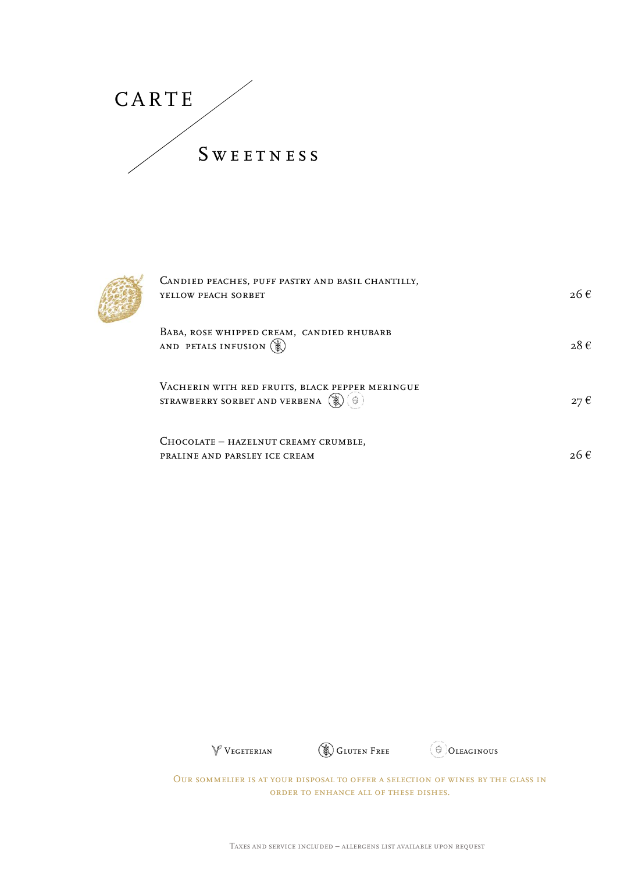CARTE<br>SWEETNESS S W E E T N E S S



| RTE                                                                                                                              |          |  |
|----------------------------------------------------------------------------------------------------------------------------------|----------|--|
| <b>SWEETNESS</b>                                                                                                                 |          |  |
|                                                                                                                                  |          |  |
| CANDIED PEACHES, PUFF PASTRY AND BASIL CHANTILLY,<br>YELLOW PEACH SORBET                                                         | $26 \in$ |  |
| BABA, ROSE WHIPPED CREAM, CANDIED RHUBARB<br>AND PETALS INFUSION                                                                 | $28 \in$ |  |
| VACHERIN WITH RED FRUITS, BLACK PEPPER MERINGUE<br>STRAWBERRY SORBET AND VERBENA $\left(\bigoplus_{i=1}^{n} \binom{m}{i}\right)$ | $27 \in$ |  |
| CHOCOLATE - HAZELNUT CREAMY CRUMBLE,<br>PRALINE AND PARSLEY ICE CREAM                                                            | $26 \in$ |  |
|                                                                                                                                  |          |  |
|                                                                                                                                  |          |  |





Our sommelier is at your disposal to offer a selection of wines by the glass in order to enhance all of these dishes. TRETTERIAN COUR DISPOSAL TO OFFER A SELECTION OF WINES BY THE GLASS IN ORDER TO ENHANCE ALL OF THESE DISHES.<br>TAXES AND SERVICE INCLUDED – ALLERGENS LIST AVAILABLE UPON REQUEST Vegeterian Gluten Free Gluten Free Gluten Free Gluten Free Gluten Coleaginous<br>Cilier is at your disposal to offer a selection of wines by the glass in<br>ORDER TO ENHANCE ALL OF THESE DISHES.